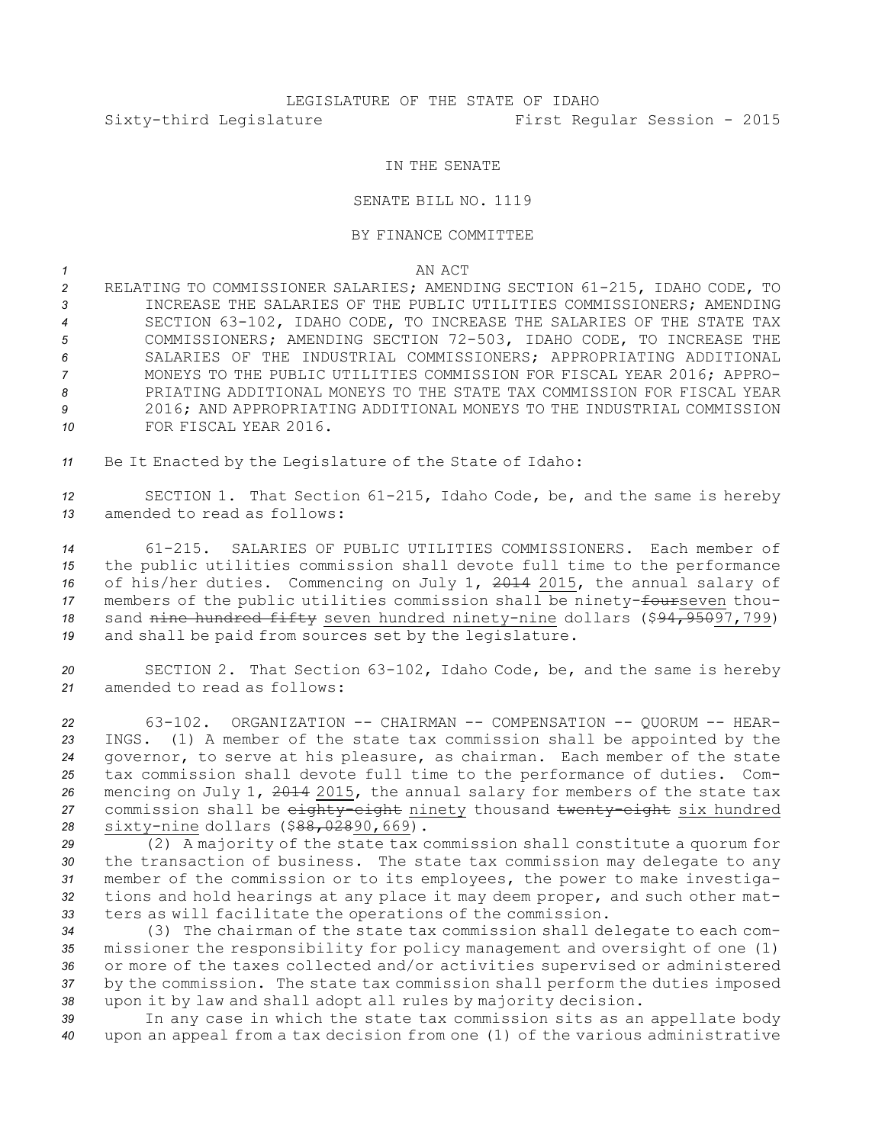## IN THE SENATE

## SENATE BILL NO. 1119

## BY FINANCE COMMITTEE

*1* AN ACT

 RELATING TO COMMISSIONER SALARIES; AMENDING SECTION 61-215, IDAHO CODE, TO INCREASE THE SALARIES OF THE PUBLIC UTILITIES COMMISSIONERS; AMENDING SECTION 63-102, IDAHO CODE, TO INCREASE THE SALARIES OF THE STATE TAX COMMISSIONERS; AMENDING SECTION 72-503, IDAHO CODE, TO INCREASE THE SALARIES OF THE INDUSTRIAL COMMISSIONERS; APPROPRIATING ADDITIONAL MONEYS TO THE PUBLIC UTILITIES COMMISSION FOR FISCAL YEAR 2016; APPRO- PRIATING ADDITIONAL MONEYS TO THE STATE TAX COMMISSION FOR FISCAL YEAR 2016; AND APPROPRIATING ADDITIONAL MONEYS TO THE INDUSTRIAL COMMISSION FOR FISCAL YEAR 2016.

*<sup>11</sup>* Be It Enacted by the Legislature of the State of Idaho:

*<sup>12</sup>* SECTION 1. That Section 61-215, Idaho Code, be, and the same is hereby *13* amended to read as follows:

 61-215. SALARIES OF PUBLIC UTILITIES COMMISSIONERS. Each member of the public utilities commission shall devote full time to the performance of his/her duties. Commencing on July 1, 2014 2015, the annual salary of 17 members of the public utilities commission shall be ninety-fourseven thou- sand nine hundred fifty seven hundred ninety-nine dollars (\$94,95097,799) and shall be paid from sources set by the legislature.

*<sup>20</sup>* SECTION 2. That Section 63-102, Idaho Code, be, and the same is hereby *21* amended to read as follows:

 63-102. ORGANIZATION -- CHAIRMAN -- COMPENSATION -- QUORUM -- HEAR- INGS. (1) <sup>A</sup> member of the state tax commission shall be appointed by the governor, to serve at his pleasure, as chairman. Each member of the state tax commission shall devote full time to the performance of duties. Com- mencing on July 1, 2014 2015, the annual salary for members of the state tax commission shall be eighty-eight ninety thousand twenty-eight six hundred sixty-nine dollars (\$88,02890,669).

 (2) <sup>A</sup> majority of the state tax commission shall constitute <sup>a</sup> quorum for the transaction of business. The state tax commission may delegate to any member of the commission or to its employees, the power to make investiga- tions and hold hearings at any place it may deem proper, and such other mat-ters as will facilitate the operations of the commission.

 (3) The chairman of the state tax commission shall delegate to each com- missioner the responsibility for policy management and oversight of one (1) or more of the taxes collected and/or activities supervised or administered by the commission. The state tax commission shall perform the duties imposed upon it by law and shall adopt all rules by majority decision.

*<sup>39</sup>* In any case in which the state tax commission sits as an appellate body *<sup>40</sup>* upon an appeal from <sup>a</sup> tax decision from one (1) of the various administrative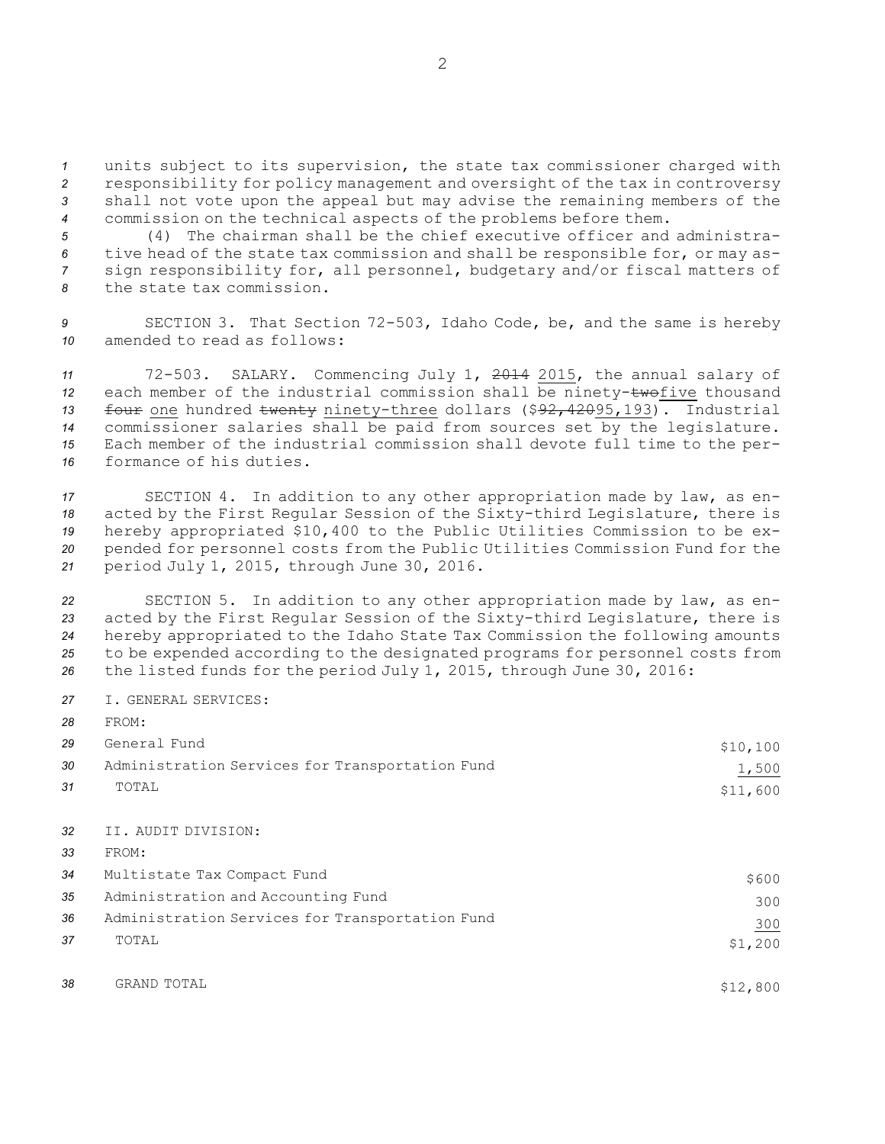units subject to its supervision, the state tax commissioner charged with responsibility for policy management and oversight of the tax in controversy shall not vote upon the appeal but may advise the remaining members of the commission on the technical aspects of the problems before them.

 (4) The chairman shall be the chief executive officer and administra- tive head of the state tax commission and shall be responsible for, or may as- sign responsibility for, all personnel, budgetary and/or fiscal matters of the state tax commission.

*<sup>9</sup>* SECTION 3. That Section 72-503, Idaho Code, be, and the same is hereby *10* amended to read as follows:

 72-503. SALARY. Commencing July 1, 2014 2015, the annual salary of each member of the industrial commission shall be ninety-twofive thousand four one hundred twenty ninety-three dollars (\$92,42095,193). Industrial commissioner salaries shall be paid from sources set by the legislature. Each member of the industrial commission shall devote full time to the per-formance of his duties.

 SECTION 4. In addition to any other appropriation made by law, as en- acted by the First Regular Session of the Sixty-third Legislature, there is hereby appropriated \$10,400 to the Public Utilities Commission to be ex- pended for personnel costs from the Public Utilities Commission Fund for the period July 1, 2015, through June 30, 2016.

 SECTION 5. In addition to any other appropriation made by law, as en- acted by the First Regular Session of the Sixty-third Legislature, there is hereby appropriated to the Idaho State Tax Commission the following amounts to be expended according to the designated programs for personnel costs from the listed funds for the period July 1, 2015, through June 30, 2016:

*27* I. GENERAL SERVICES:

*28* FROM:

| 29 | General Fund                                    | \$10,100 |
|----|-------------------------------------------------|----------|
| 30 | Administration Services for Transportation Fund | 1,500    |
| 31 | TOTAL                                           | \$11,600 |
| 32 | II. AUDIT DIVISION:                             |          |
| 33 | FROM:                                           |          |
| 34 | Multistate Tax Compact Fund                     | \$600    |
| 35 | Administration and Accounting Fund              | 300      |
| 36 | Administration Services for Transportation Fund | 300      |
| 37 | TOTAL                                           | \$1,200  |
| 38 | GRAND TOTAL                                     | \$12,800 |